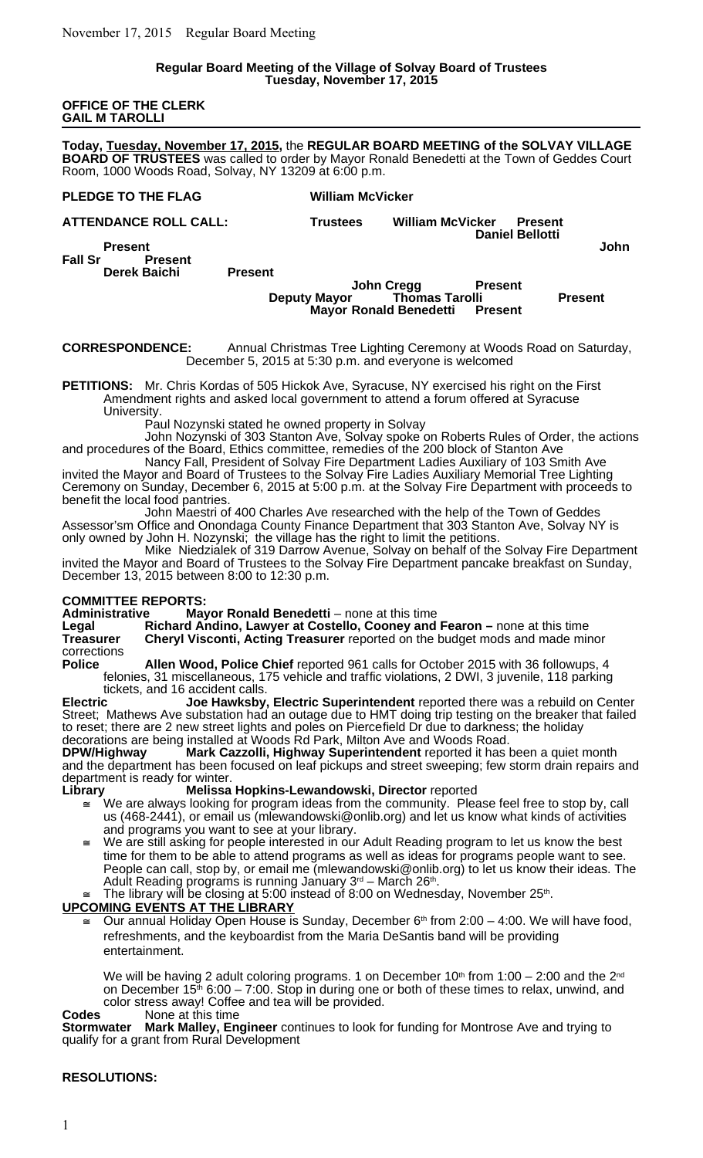## **Regular Board Meeting of the Village of Solvay Board of Trustees Tuesday, November 17, 2015**

## **OFFICE OF THE CLERK GAIL M TAROLLI**

**Today, Tuesday, November 17, 2015,** the **REGULAR BOARD MEETING of the SOLVAY VILLAGE BOARD OF TRUSTEES** was called to order by Mayor Ronald Benedetti at the Town of Geddes Court Room, 1000 Woods Road, Solvay, NY 13209 at 6:00 p.m.

# **PLEDGE TO THE FLAG William McVicker ATTENDANCE ROLL CALL: Trustees William McVicker Present Daniel Bellotti Present John Fall Sr Present Derek Baichi Present John Cregg Present**<br>Thomas Tarolli **Deputy Mayor Thomas Tarolli Present Mayor Ronald Benedetti Present**

## **CORRESPONDENCE:** Annual Christmas Tree Lighting Ceremony at Woods Road on Saturday, December 5, 2015 at 5:30 p.m. and everyone is welcomed

**PETITIONS:** Mr. Chris Kordas of 505 Hickok Ave, Syracuse, NY exercised his right on the First Amendment rights and asked local government to attend a forum offered at Syracuse University.

Paul Nozynski stated he owned property in Solvay

John Nozynski of 303 Stanton Ave, Solvay spoke on Roberts Rules of Order, the actions and procedures of the Board, Ethics committee, remedies of the 200 block of Stanton Ave

Nancy Fall, President of Solvay Fire Department Ladies Auxiliary of 103 Smith Ave invited the Mayor and Board of Trustees to the Solvay Fire Ladies Auxiliary Memorial Tree Lighting Ceremony on Sunday, December 6, 2015 at 5:00 p.m. at the Solvay Fire Department with proceeds to benefit the local food pantries.

John Maestri of 400 Charles Ave researched with the help of the Town of Geddes Assessor'sm Office and Onondaga County Finance Department that 303 Stanton Ave, Solvay NY is only owned by John H. Nozynski; the village has the right to limit the petitions.

Mike Niedzialek of 319 Darrow Avenue, Solvay on behalf of the Solvay Fire Department invited the Mayor and Board of Trustees to the Solvay Fire Department pancake breakfast on Sunday, December 13, 2015 between 8:00 to 12:30 p.m.

**COMMITTEE REPORTS: Administrative Mayor Ronald Benedetti** – none at this time<br>
Legal **Richard Andino, Lawyer at Costello, Cooney and** 

**Richard Andino, Lawyer at Costello, Cooney and Fearon – none at this time Treasurer Cheryl Visconti, Acting Treasurer** reported on the budget mods and made minor corrections<br>**Police** 

**Police Allen Wood, Police Chief** reported 961 calls for October 2015 with 36 followups, 4 felonies, 31 miscellaneous, 175 vehicle and traffic violations, 2 DWI, 3 juvenile, 118 parking tickets, and 16 accident calls.<br>Electric Joe Hawksby.

**Electric Joe Hawksby, Electric Superintendent** reported there was a rebuild on Center Street; Mathews Ave substation had an outage due to HMT doing trip testing on the breaker that failed to reset; there are 2 new street lights and poles on Piercefield Dr due to darkness; the holiday decorations are being installed at Woods Rd Park, Milton Ave and Woods Road.

**DPW/Highway Mark Cazzolli, Highway Superintendent** reported it has been a quiet month and the department has been focused on leaf pickups and street sweeping; few storm drain repairs and department is ready for winter.

**Library Melissa Hopkins-Lewandowski, Director** reported

- We are always looking for program ideas from the community. Please feel free to stop by, call us (468-2441), or email us (mlewandowski@onlib.org) and let us know what kinds of activities and programs you want to see at your library.
- We are still asking for people interested in our Adult Reading program to let us know the best time for them to be able to attend programs as well as ideas for programs people want to see. People can call, stop by, or email me (mlewandowski@onlib.org) to let us know their ideas. The Adult Reading programs is running January 3<sup>rd</sup> – March 26<sup>th</sup>.  $\cong$  The library will be closing at 5:00 instead of 8:00 on Wednesday, November 25<sup>th</sup>.

# **UPCOMING EVENTS AT THE LIBRARY**

 Our annual Holiday Open House is Sunday, December 6th from 2:00 – 4:00. We will have food, refreshments, and the keyboardist from the Maria DeSantis band will be providing entertainment.

We will be having 2 adult coloring programs. 1 on December 10<sup>th</sup> from 1:00 – 2:00 and the 2<sup>nd</sup> on December 15<sup>th</sup> 6:00 – 7:00. Stop in during one or both of these times to relax, unwind, and color stress away! Coffee and tea will be provided.<br>None at this time

**Codes** None at this time

**Stormwater Mark Malley, Engineer** continues to look for funding for Montrose Ave and trying to qualify for a grant from Rural Development

# **RESOLUTIONS:**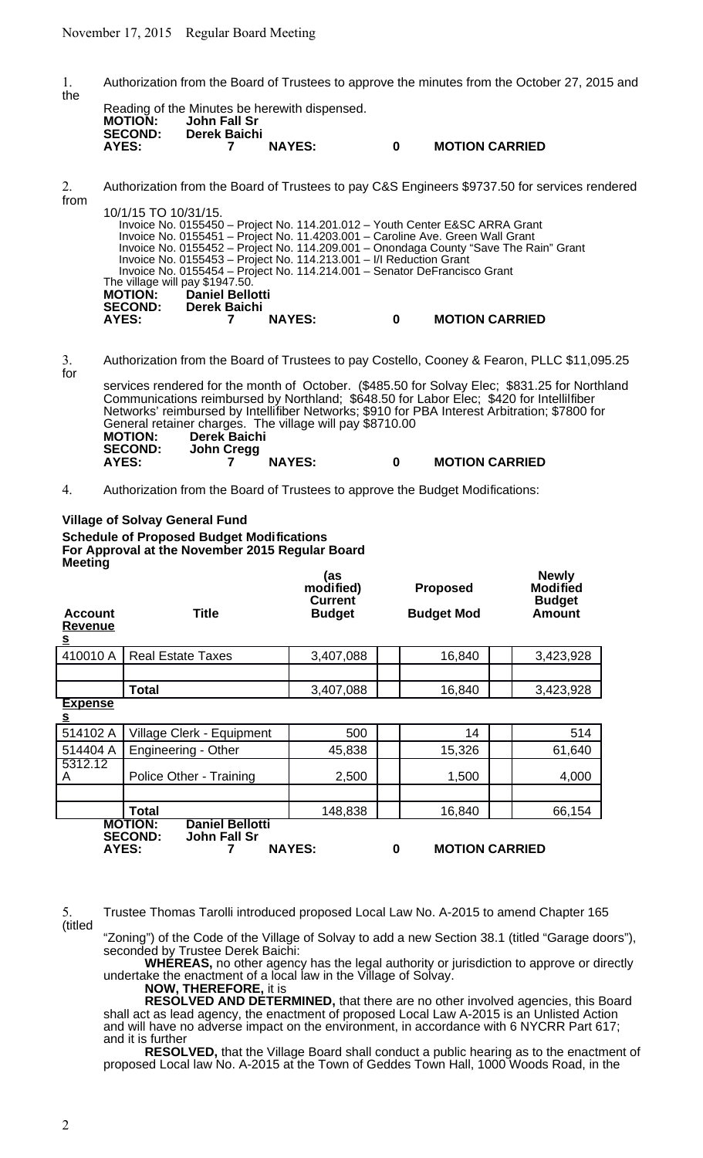1. Authorization from the Board of Trustees to approve the minutes from the October 27, 2015 and the

|                |              | Reading of the Minutes be herewith dispensed. |   |                       |
|----------------|--------------|-----------------------------------------------|---|-----------------------|
| <b>MOTION:</b> | John Fall Sr |                                               |   |                       |
| <b>SECOND:</b> | Derek Baichi |                                               |   |                       |
| AYES:          |              | <b>NAYES:</b>                                 | n | <b>MOTION CARRIED</b> |
|                |              |                                               |   |                       |

2. Authorization from the Board of Trustees to pay C&S Engineers \$9737.50 for services rendered from 10/1/15 TO 10/31/15.

| 10/1/15 TO 10/31/15.            |                                                                           |   |                                                                                       |  |
|---------------------------------|---------------------------------------------------------------------------|---|---------------------------------------------------------------------------------------|--|
|                                 |                                                                           |   | Invoice No. 0155450 – Project No. 114.201.012 – Youth Center E&SC ARRA Grant          |  |
|                                 |                                                                           |   | Invoice No. 0155451 - Project No. 11.4203.001 - Caroline Ave. Green Wall Grant        |  |
|                                 |                                                                           |   | Invoice No. 0155452 - Project No. 114.209.001 - Onondaga County "Save The Rain" Grant |  |
|                                 | Invoice No. 0155453 – Project No. 114.213.001 – I/I Reduction Grant       |   |                                                                                       |  |
|                                 | Invoice No. 0155454 – Project No. 114.214.001 – Senator DeFrancisco Grant |   |                                                                                       |  |
| The village will pay \$1947.50. |                                                                           |   |                                                                                       |  |
| <b>MOTION:</b> Daniel Bellotti  |                                                                           |   |                                                                                       |  |
| <b>SECOND:</b> Derek Baichi     |                                                                           |   |                                                                                       |  |
| AYES:                           | <b>NAYES:</b>                                                             | 0 | <b>MOTION CARRIED</b>                                                                 |  |
|                                 |                                                                           |   |                                                                                       |  |

3. Authorization from the Board of Trustees to pay Costello, Cooney & Fearon, PLLC \$11,095.25 for

services rendered for the month of October. (\$485.50 for Solvay Elec; \$831.25 for Northland Communications reimbursed by Northland; \$648.50 for Labor Elec; \$420 for Intellilfiber Networks' reimbursed by Intellifiber Networks; \$910 for PBA Interest Arbitration; \$7800 for General retainer charges. The village will pay \$8710.00 **MOTION: Derek Baichi SECOND: John Cregg AYES: 7 NAYES: 0 MOTION CARRIED**

4. Authorization from the Board of Trustees to approve the Budget Modifications:

### **Village of Solvay General Fund Schedule of Proposed Budget Modifications For Approval at the November 2015 Regular Board Meeting** as)<br>modified) **modified) Proposed Newly Modified Account Title Current Budget Budget Mod Budget Amount Revenue s** 410010 A Real Estate Taxes | 3,407,088 | | 16,840 | | 3,423,928 **Total** 3,407,088 | 3,403,928 **Expense s** 514102 A | Village Clerk - Equipment | 500 | | 14 | | 514  $514404 A \nvert$  Engineering - Other  $\vert$  45,838  $\vert$  15,326  $\vert$  61,640 5312.12<br>A A Police Other - Training 2,500 1,500 4,000 **Total** 148,838 16,840 66,154 **MOTION: Daniel Bellotti**

**SECOND: John Fall Sr AYES: 7 NAYES: 0 MOTION CARRIED**

5. Trustee Thomas Tarolli introduced proposed Local Law No. A-2015 to amend Chapter 165 (titled

"Zoning") of the Code of the Village of Solvay to add a new Section 38.1 (titled "Garage doors"), seconded by Trustee Derek Baichi:

**WHEREAS,** no other agency has the legal authority or jurisdiction to approve or directly undertake the enactment of a local law in the Village of Solvay.

**NOW, THEREFORE,** it is

**RESOLVED AND DETERMINED,** that there are no other involved agencies, this Board shall act as lead agency, the enactment of proposed Local Law A-2015 is an Unlisted Action and will have no adverse impact on the environment, in accordance with 6 NYCRR Part 617; and it is further

**RESOLVED,** that the Village Board shall conduct a public hearing as to the enactment of proposed Local law No. A-2015 at the Town of Geddes Town Hall, 1000 Woods Road, in the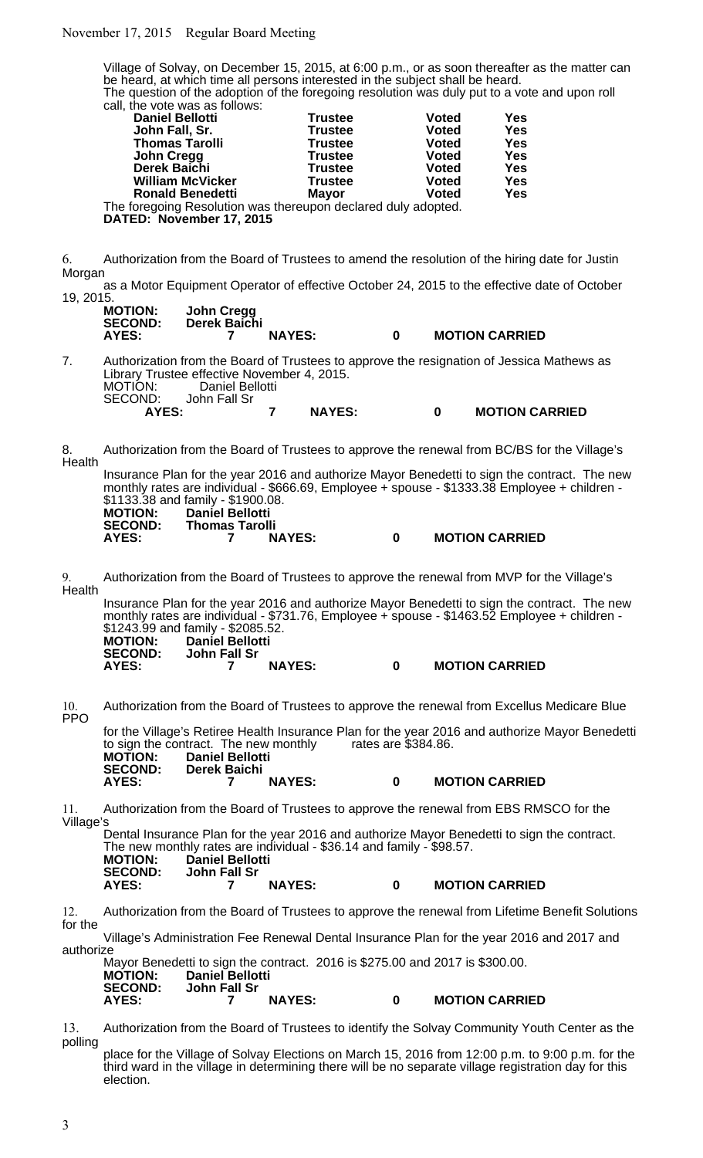# November 17, 2015 Regular Board Meeting

Village of Solvay, on December 15, 2015, at 6:00 p.m., or as soon thereafter as the matter can be heard, at which time all persons interested in the subject shall be heard. The question of the adoption of the foregoing resolution was duly put to a vote and upon roll call, the vote was as follows:

| <b>Daniel Bellotti</b>                                        | <b>Trustee</b> | <b>Voted</b> | Yes        |
|---------------------------------------------------------------|----------------|--------------|------------|
| John Fall, Sr.                                                | <b>Trustee</b> | <b>Voted</b> | <b>Yes</b> |
| <b>Thomas Tarolli</b>                                         | <b>Trustee</b> | <b>Voted</b> | Yes        |
| <b>John Cregg</b>                                             | <b>Trustee</b> | <b>Voted</b> | Yes        |
| Derek Baichi                                                  | <b>Trustee</b> | <b>Voted</b> | Yes        |
| <b>William McVicker</b>                                       | <b>Trustee</b> | <b>Voted</b> | <b>Yes</b> |
| <b>Ronald Benedetti</b>                                       | <b>Mayor</b>   | <b>Voted</b> | <b>Yes</b> |
| The foregoing Resolution was thereupon declared duly adopted. |                |              |            |
|                                                               |                |              |            |

**DATED: November 17, 2015**

6. Authorization from the Board of Trustees to amend the resolution of the hiring date for Justin Morgan

as a Motor Equipment Operator of effective October 24, 2015 to the effective date of October 19, 2015.

| <b>MOTION:</b><br><b>SECOND:</b> | John Cregg<br>Derek Baichi |               |   |                       |
|----------------------------------|----------------------------|---------------|---|-----------------------|
| AYES:                            |                            | <b>NAYES:</b> | 0 | <b>MOTION CARRIED</b> |

7. Authorization from the Board of Trustees to approve the resignation of Jessica Mathews as Library Trustee effective November 4, 2015. MOTION: Daniel Bellotti<br>SECOND: John Fall Sr \D: John Fall Sr<br>**AYES: AYES: 7 NAYES: 0 MOTION CARRIED**

8. Authorization from the Board of Trustees to approve the renewal from BC/BS for the Village's Health

Insurance Plan for the year 2016 and authorize Mayor Benedetti to sign the contract. The new monthly rates are individual - \$666.69, Employee + spouse - \$1333.38 Employee + children - \$1133.38 and family - \$1900.08. **MOTION: Daniel Bellotti**

| 111V I IVIT.<br><b>SECOND:</b> | Panit Pendiu<br><b>Thomas Tarolli</b> |               |                       |
|--------------------------------|---------------------------------------|---------------|-----------------------|
| AYES:                          |                                       | <b>NAYES:</b> | <b>MOTION CARRIED</b> |

9. Authorization from the Board of Trustees to approve the renewal from MVP for the Village's Health

Insurance Plan for the year 2016 and authorize Mayor Benedetti to sign the contract. The new monthly rates are individual - \$731.76, Employee + spouse - \$1463.52 Employee + children - \$1243.99 and family - \$2085.52.<br>MOTION: Daniel Bellotti **MOTION: Daniel Bellotti John Fall Sr AYES: 7 NAYES: 0 MOTION CARRIED**

10. Authorization from the Board of Trustees to approve the renewal from Excellus Medicare Blue **PPO** 

for the Village's Retiree Health Insurance Plan for the year 2016 and authorize Mayor Benedetti<br>to sign the contract. The new monthly rates are \$384.86. to sign the contract. The new monthly<br>**MOTION:** Daniel Bellotti **MOTION: Daniel Bellotti SECOND: Derek Baichi AYES: 7 NAYES: 0 MOTION CARRIED**

11. Authorization from the Board of Trustees to approve the renewal from EBS RMSCO for the Village's

Dental Insurance Plan for the year 2016 and authorize Mayor Benedetti to sign the contract. The new monthly rates are individual - \$36.14 and family - \$98.57. **MOTION: Daniel Bellotti SECOND: John Fall Sr AYES: 7 NAYES: 0 MOTION CARRIED**

12. Authorization from the Board of Trustees to approve the renewal from Lifetime Benefit Solutions for the

Village's Administration Fee Renewal Dental Insurance Plan for the year 2016 and 2017 and authorize

Mayor Benedetti to sign the contract. 2016 is \$275.00 and 2017 is \$300.00.<br>**MOTION: Daniel Bellotti MOTION: Daniel Bellotti SECOND: John Fall Sr AYES: 7 NAYES: 0 MOTION CARRIED**

13. Authorization from the Board of Trustees to identify the Solvay Community Youth Center as the polling

place for the Village of Solvay Elections on March 15, 2016 from 12:00 p.m. to 9:00 p.m. for the third ward in the village in determining there will be no separate village registration day for this election.